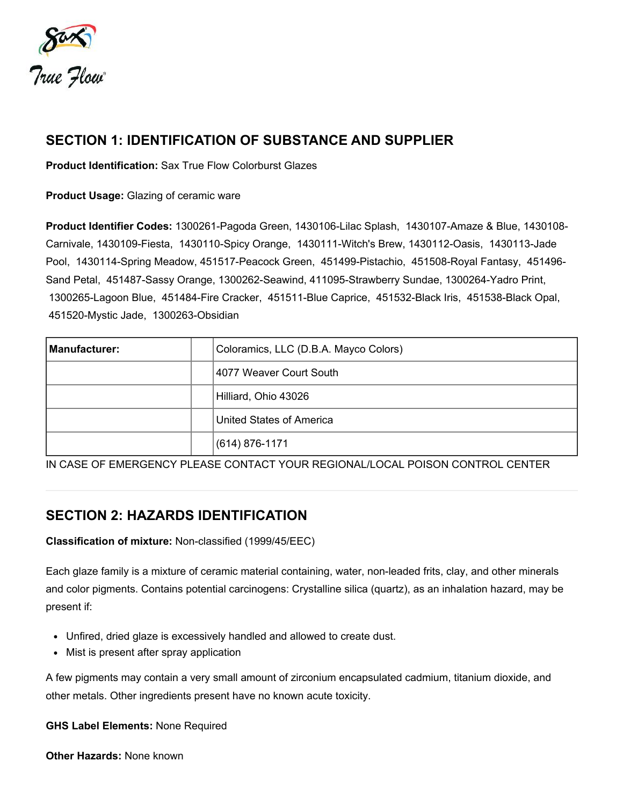

# SECTION 1: IDENTIFICATION OF SUBSTANCE AND SUPPLIER

Product Identification: Sax True Flow Colorburst Glazes

Product Usage: Glazing of ceramic ware

Product Identifier Codes: 1300261-Pagoda Green, 1430106-Lilac Splash, 1430107-Amaze & Blue, 1430108- Carnivale, 1430109-Fiesta, 1430110-Spicy Orange, 1430111-Witch's Brew, 1430112-Oasis, 1430113-Jade Pool, 1430114-Spring Meadow, 451517-Peacock Green, 451499-Pistachio, 451508-Royal Fantasy, 451496- Sand Petal, 451487-Sassy Orange, 1300262-Seawind, 411095-Strawberry Sundae, 1300264-Yadro Print, 1300265-Lagoon Blue, 451484-Fire Cracker, 451511-Blue Caprice, 451532-Black Iris, 451538-Black Opal, 451520-Mystic Jade, 1300263-Obsidian

| Manufacturer: | Coloramics, LLC (D.B.A. Mayco Colors) |
|---------------|---------------------------------------|
|               | 14077 Weaver Court South              |
|               | Hilliard, Ohio 43026                  |
|               | United States of America              |
|               | $(614) 876 - 1171$                    |

IN CASE OF EMERGENCY PLEASE CONTACT YOUR REGIONAL/LOCAL POISON CONTROL CENTER

# SECTION 2: HAZARDS IDENTIFICATION

### Classification of mixture: Non-classified (1999/45/EEC)

Each glaze family is a mixture of ceramic material containing, water, non-leaded frits, clay, and other minerals and color pigments. Contains potential carcinogens: Crystalline silica (quartz), as an inhalation hazard, may be present if:

- Unfired, dried glaze is excessively handled and allowed to create dust.
- Mist is present after spray application

A few pigments may contain a very small amount of zirconium encapsulated cadmium, titanium dioxide, and other metals. Other ingredients present have no known acute toxicity.

GHS Label Elements: None Required

**Other Hazards: None known**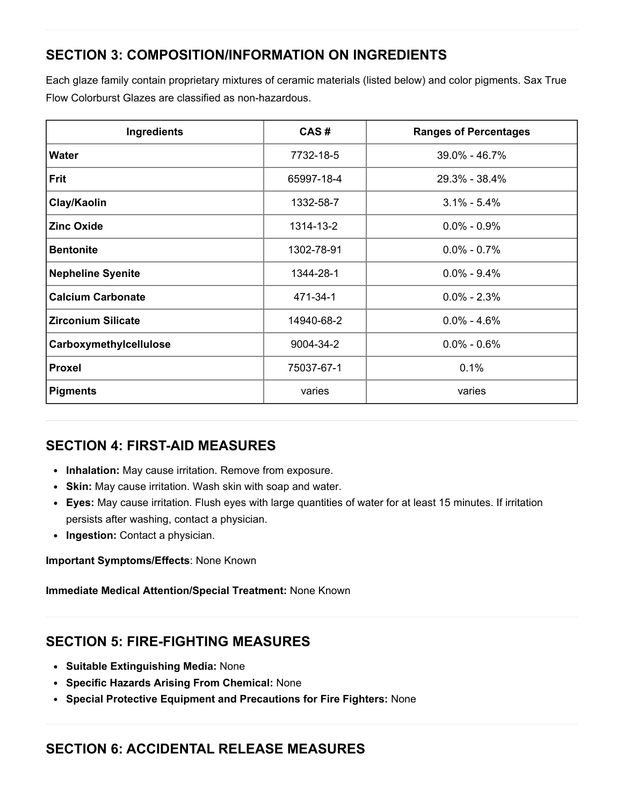# SECTION 3: COMPOSITION/INFORMATION ON INGREDIENTS

Each glaze family contain proprietary mixtures of ceramic materials (listed below) and color pigments. Sax True Flow Colorburst Glazes are classified as non-hazardous.

| Ingredients               | CAS#       | <b>Ranges of Percentages</b> |
|---------------------------|------------|------------------------------|
| <b>Water</b>              | 7732-18-5  | 39.0% - 46.7%                |
| <b>Frit</b>               | 65997-18-4 | 29.3% - 38.4%                |
| Clay/Kaolin               | 1332-58-7  | $3.1\% - 5.4\%$              |
| <b>Zinc Oxide</b>         | 1314-13-2  | $0.0\% - 0.9\%$              |
| <b>Bentonite</b>          | 1302-78-91 | $0.0\% - 0.7\%$              |
| <b>Nepheline Syenite</b>  | 1344-28-1  | $0.0\% - 9.4\%$              |
| <b>Calcium Carbonate</b>  | 471-34-1   | $0.0\% - 2.3\%$              |
| <b>Zirconium Silicate</b> | 14940-68-2 | $0.0\% - 4.6\%$              |
| Carboxymethylcellulose    | 9004-34-2  | $0.0\% - 0.6\%$              |
| <b>Proxel</b>             | 75037-67-1 | 0.1%                         |
| <b>Pigments</b>           | varies     | varies                       |

# SECTION 4: FIRST-AID MEASURES

- Inhalation: May cause irritation. Remove from exposure.
- Skin: May cause irritation. Wash skin with soap and water.
- Eyes: May cause irritation. Flush eyes with large quantities of water for at least 15 minutes. If irritation persists after washing, contact a physician.
- Ingestion: Contact a physician.

Important Symptoms/Effects: None Known

Immediate Medical Attention/Special Treatment: None Known

# SECTION 5: FIRE-FIGHTING MEASURES

- Suitable Extinguishing Media: None
- Specific Hazards Arising From Chemical: None
- Special Protective Equipment and Precautions for Fire Fighters: None

# SECTION 6: ACCIDENTAL RELEASE MEASURES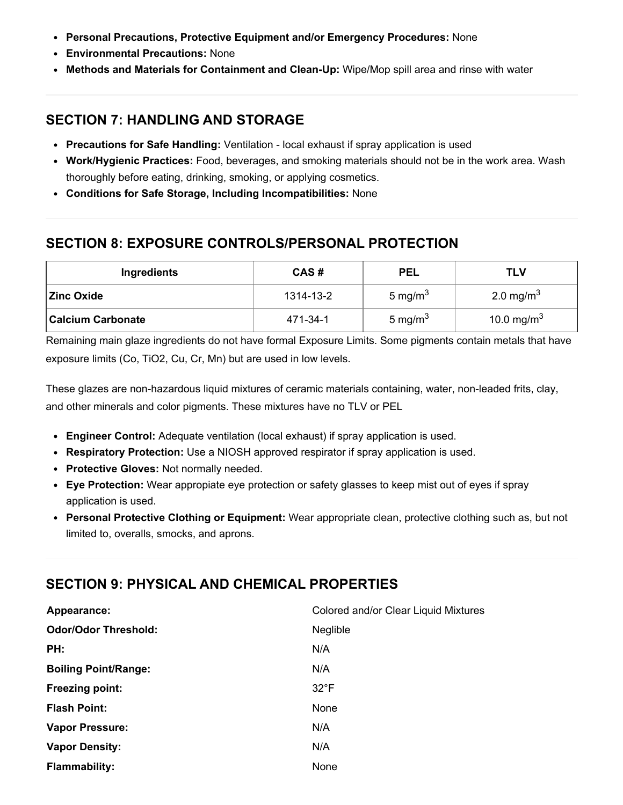- Personal Precautions, Protective Equipment and/or Emergency Procedures: None
- Environmental Precautions: None
- Methods and Materials for Containment and Clean-Up: Wipe/Mop spill area and rinse with water

## SECTION 7: HANDLING AND STORAGE

- Precautions for Safe Handling: Ventilation local exhaust if spray application is used
- Work/Hygienic Practices: Food, beverages, and smoking materials should not be in the work area. Wash thoroughly before eating, drinking, smoking, or applying cosmetics.
- Conditions for Safe Storage, Including Incompatibilities: None

# SECTION 8: EXPOSURE CONTROLS/PERSONAL PROTECTION

| Ingredients              | CAS#      | <b>PEL</b> | TLV                    |
|--------------------------|-----------|------------|------------------------|
| <b>Zinc Oxide</b>        | 1314-13-2 | 5 mg/m $3$ | 2.0 mg/m <sup>3</sup>  |
| <b>Calcium Carbonate</b> | 471-34-1  | 5 mg/m $3$ | 10.0 mg/m <sup>3</sup> |

Remaining main glaze ingredients do not have formal Exposure Limits. Some pigments contain metals that have exposure limits (Co, TiO2, Cu, Cr, Mn) but are used in low levels.

These glazes are non-hazardous liquid mixtures of ceramic materials containing, water, non-leaded frits, clay, and other minerals and color pigments. These mixtures have no TLV or PEL

- Engineer Control: Adequate ventilation (local exhaust) if spray application is used.
- Respiratory Protection: Use a NIOSH approved respirator if spray application is used.
- Protective Gloves: Not normally needed.
- Eye Protection: Wear appropiate eye protection or safety glasses to keep mist out of eyes if spray application is used.
- Personal Protective Clothing or Equipment: Wear appropriate clean, protective clothing such as, but not limited to, overalls, smocks, and aprons.

# SECTION 9: PHYSICAL AND CHEMICAL PROPERTIES

| Appearance:                 | Colored and/or Clear Liquid Mixtures |
|-----------------------------|--------------------------------------|
| <b>Odor/Odor Threshold:</b> | <b>Neglible</b>                      |
| PH:                         | N/A                                  |
| <b>Boiling Point/Range:</b> | N/A                                  |
| <b>Freezing point:</b>      | $32^{\circ}F$                        |
| <b>Flash Point:</b>         | None                                 |
| <b>Vapor Pressure:</b>      | N/A                                  |
| <b>Vapor Density:</b>       | N/A                                  |
| <b>Flammability:</b>        | None                                 |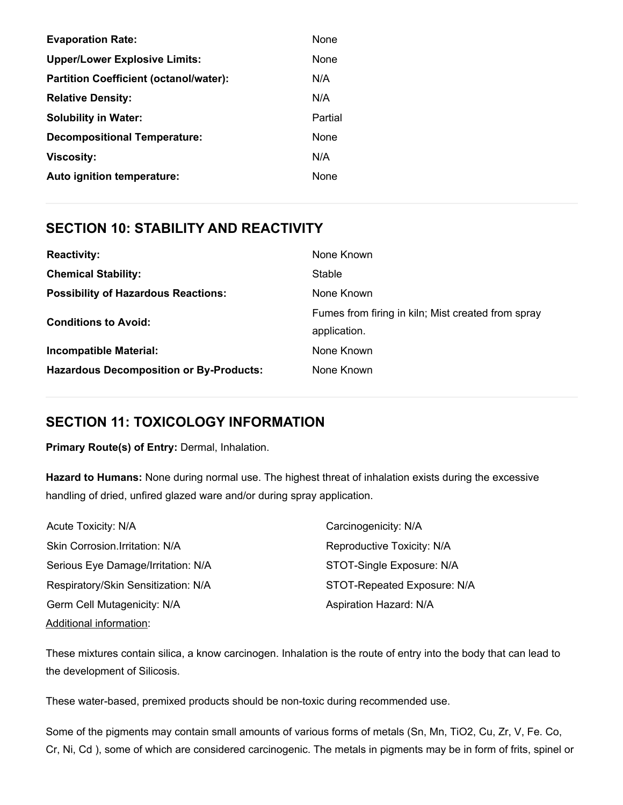| <b>Evaporation Rate:</b>                      | <b>None</b> |
|-----------------------------------------------|-------------|
| <b>Upper/Lower Explosive Limits:</b>          | None        |
| <b>Partition Coefficient (octanol/water):</b> | N/A         |
| <b>Relative Density:</b>                      | N/A         |
| <b>Solubility in Water:</b>                   | Partial     |
| <b>Decompositional Temperature:</b>           | None        |
| <b>Viscosity:</b>                             | N/A         |
| Auto ignition temperature:                    | None        |

## SECTION 10: STABILITY AND REACTIVITY

| <b>Reactivity:</b>                             | None Known                                         |
|------------------------------------------------|----------------------------------------------------|
| <b>Chemical Stability:</b>                     | Stable                                             |
| <b>Possibility of Hazardous Reactions:</b>     | None Known                                         |
| <b>Conditions to Avoid:</b>                    | Fumes from firing in kiln; Mist created from spray |
|                                                | application.                                       |
| <b>Incompatible Material:</b>                  | None Known                                         |
| <b>Hazardous Decomposition or By-Products:</b> | None Known                                         |

## SECTION 11: TOXICOLOGY INFORMATION

Primary Route(s) of Entry: Dermal, Inhalation.

Hazard to Humans: None during normal use. The highest threat of inhalation exists during the excessive handling of dried, unfired glazed ware and/or during spray application.

| Acute Toxicity: N/A                 | Carcinogenicity: N/A        |
|-------------------------------------|-----------------------------|
| Skin Corrosion.Irritation: N/A      | Reproductive Toxicity: N/A  |
| Serious Eye Damage/Irritation: N/A  | STOT-Single Exposure: N/A   |
| Respiratory/Skin Sensitization: N/A | STOT-Repeated Exposure: N/A |
| Germ Cell Mutagenicity: N/A         | Aspiration Hazard: N/A      |
| <b>Additional information:</b>      |                             |

These mixtures contain silica, a know carcinogen. Inhalation is the route of entry into the body that can lead to the development of Silicosis.

These water-based, premixed products should be non-toxic during recommended use.

Some of the pigments may contain small amounts of various forms of metals (Sn, Mn, TiO2, Cu, Zr, V, Fe. Co, Cr, Ni, Cd ), some of which are considered carcinogenic. The metals in pigments may be in form of frits, spinel or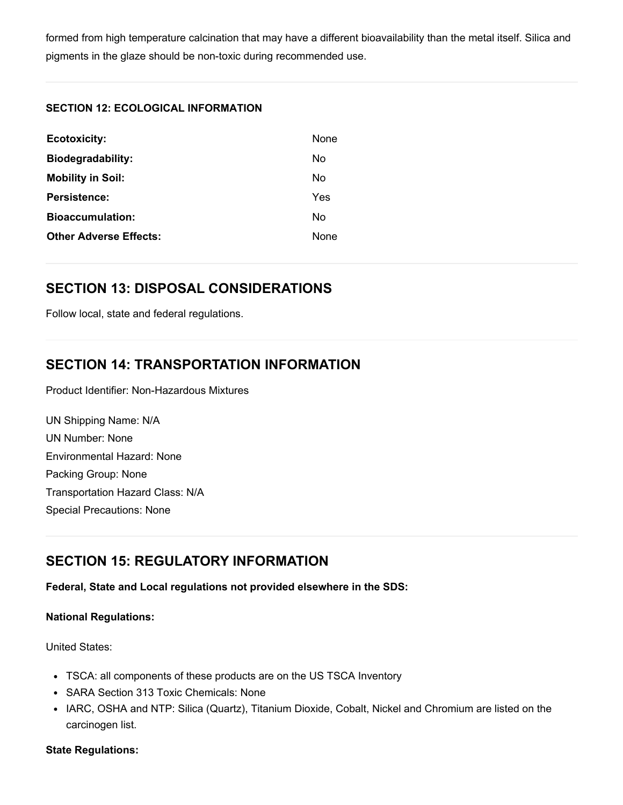formed from high temperature calcination that may have a different bioavailability than the metal itself. Silica and pigments in the glaze should be non-toxic during recommended use.

#### SECTION 12: ECOLOGICAL INFORMATION

| <b>None</b> |
|-------------|
| No          |
| No          |
| Yes         |
| N٥          |
| <b>None</b> |
|             |

## SECTION 13: DISPOSAL CONSIDERATIONS

Follow local, state and federal regulations.

# SECTION 14: TRANSPORTATION INFORMATION

Product Identifier: Non-Hazardous Mixtures

UN Shipping Name: N/A UN Number: None Environmental Hazard: None Packing Group: None Transportation Hazard Class: N/A Special Precautions: None

# SECTION 15: REGULATORY INFORMATION

Federal, State and Local regulations not provided elsewhere in the SDS:

#### National Regulations:

United States:

- TSCA: all components of these products are on the US TSCA Inventory
- SARA Section 313 Toxic Chemicals: None
- IARC, OSHA and NTP: Silica (Quartz), Titanium Dioxide, Cobalt, Nickel and Chromium are listed on the carcinogen list.

#### State Regulations: